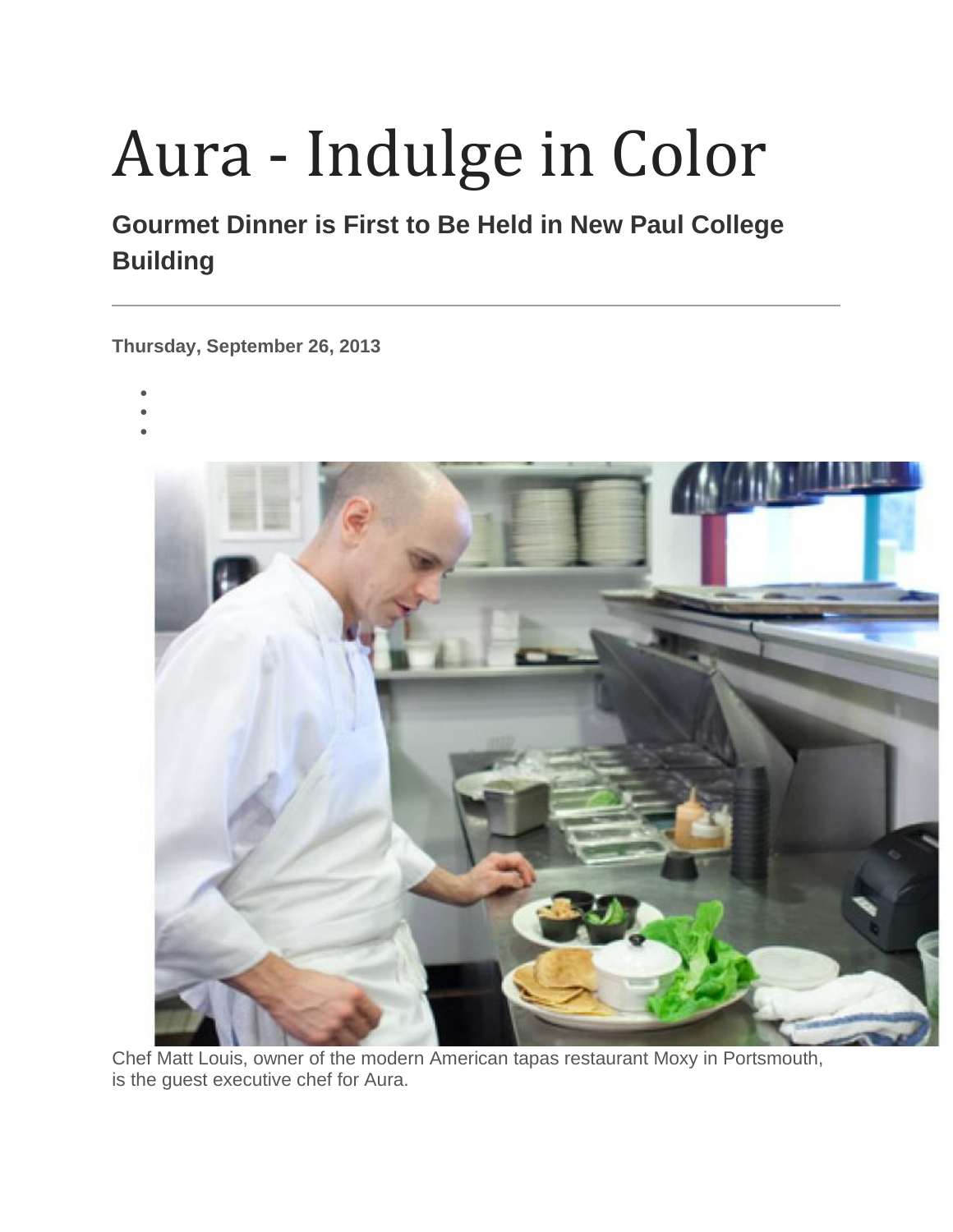## Aura - Indulge in Color

## **Gourmet Dinner is First to Be Held in New Paul College Building**

**Thursday, September 26, 2013**

- •
- •
- •



Chef Matt Louis, owner of the modern American tapas restaurant Moxy in Portsmouth, is the guest executive chef for Aura.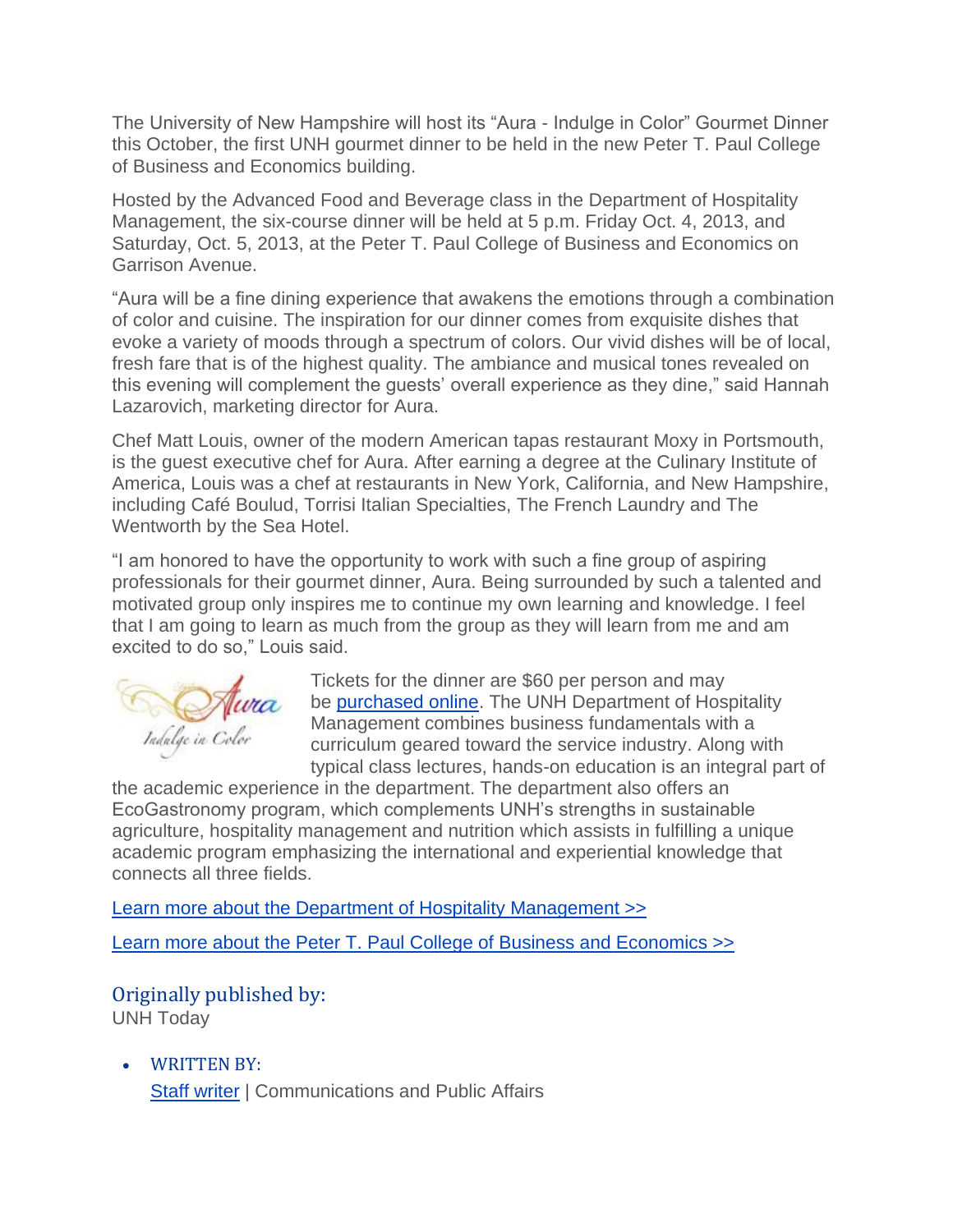The University of New Hampshire will host its "Aura - Indulge in Color" Gourmet Dinner this October, the first UNH gourmet dinner to be held in the new Peter T. Paul College of Business and Economics building.

Hosted by the Advanced Food and Beverage class in the Department of Hospitality Management, the six-course dinner will be held at 5 p.m. Friday Oct. 4, 2013, and Saturday, Oct. 5, 2013, at the Peter T. Paul College of Business and Economics on Garrison Avenue.

"Aura will be a fine dining experience that awakens the emotions through a combination of color and cuisine. The inspiration for our dinner comes from exquisite dishes that evoke a variety of moods through a spectrum of colors. Our vivid dishes will be of local, fresh fare that is of the highest quality. The ambiance and musical tones revealed on this evening will complement the guests' overall experience as they dine," said Hannah Lazarovich, marketing director for Aura.

Chef Matt Louis, owner of the modern American tapas restaurant Moxy in Portsmouth, is the guest executive chef for Aura. After earning a degree at the Culinary Institute of America, Louis was a chef at restaurants in New York, California, and New Hampshire, including Café Boulud, Torrisi Italian Specialties, The French Laundry and The Wentworth by the Sea Hotel.

"I am honored to have the opportunity to work with such a fine group of aspiring professionals for their gourmet dinner, Aura. Being surrounded by such a talented and motivated group only inspires me to continue my own learning and knowledge. I feel that I am going to learn as much from the group as they will learn from me and am excited to do so," Louis said.



Tickets for the dinner are \$60 per person and may be [purchased online.](https://www.events.unh.edu/RegistrationForm.pm?event_id=15596) The UNH Department of Hospitality Management combines business fundamentals with a curriculum geared toward the service industry. Along with typical class lectures, hands-on education is an integral part of

the academic experience in the department. The department also offers an EcoGastronomy program, which complements UNH's strengths in sustainable agriculture, hospitality management and nutrition which assists in fulfilling a unique academic program emphasizing the international and experiential knowledge that connects all three fields.

[Learn more about the Department of Hospitality Management >>](http://paulcollege.unh.edu/academics/undergraduate-programs/bs-hospitality-management)

[Learn more about the Peter T. Paul College of Business and Economics >>](http://paulcollege.unh.edu/)

## Originally published by:

UNH Today

• WRITTEN BY: [Staff writer](https://www.unh.edu/unhtoday/contributor/staff-writer) | Communications and Public Affairs